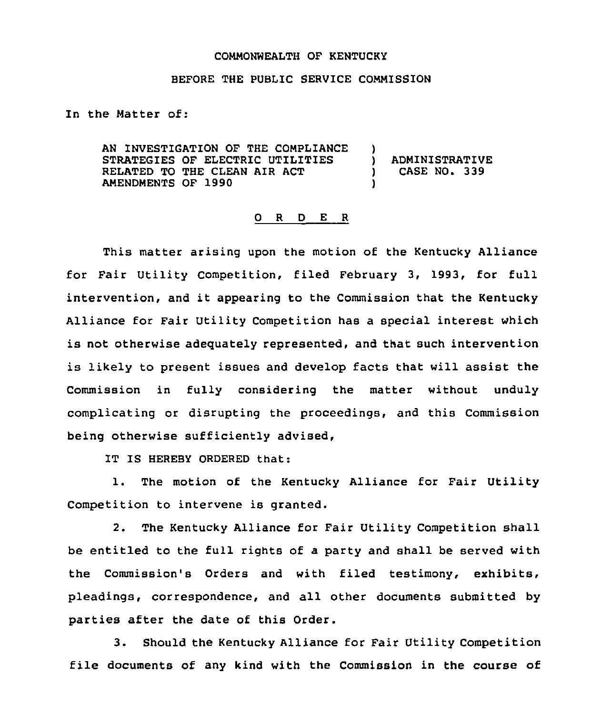## COMMONWEALTH OF KENTUCKY

## BEFORE THE PUBLIC SERVICE COMMISSION

In the Matter of:

AN INVESTIGATION OF THE COMPLIANCE STRATEGIES OF ELECTRIC UTILITIES RELATED TO THE CLEAN AIR ACT AMENDMENTS OF 1990  $\left\{ \right\}$ ) ADMINISTRATIVE<br>) CASE NO. 339 ) CASE NO <sup>~</sup> 339 )

## 0 <sup>R</sup> <sup>D</sup> E <sup>R</sup>

This matter arising upon the motion of the Kentucky Alliance for Fair Utility Competition, filed February 3, 1993, for full intervention, and it appearing to the Commission that the Kentucky Alliance for Fair Utility Competition has a special interest which is not otherwise adequately represented, and that such intervention is likely to present issues and develop facts that will assist the Commission in fully considering the matter without unduly complicating or disrupting the proceedings, and this Commission being otherwise sufficiently advised,

IT IS HEREBY ORDERED that:

1. The motion of the Kentucky Alliance for Fair Utility Competition to intervene is granted.

2. The Kentucky Alliance for Fair Utility Competition shall be entitled to the full rights of a party and shall be served with the Commission's Orders and with filed testimony, exhibits, pleadings, correspondence, and all other documents submitted by parties after the date of this Order.

3. Should the Kentucky Alliance for Fair Utility Competition file documents of any kind with the Commission in the course of